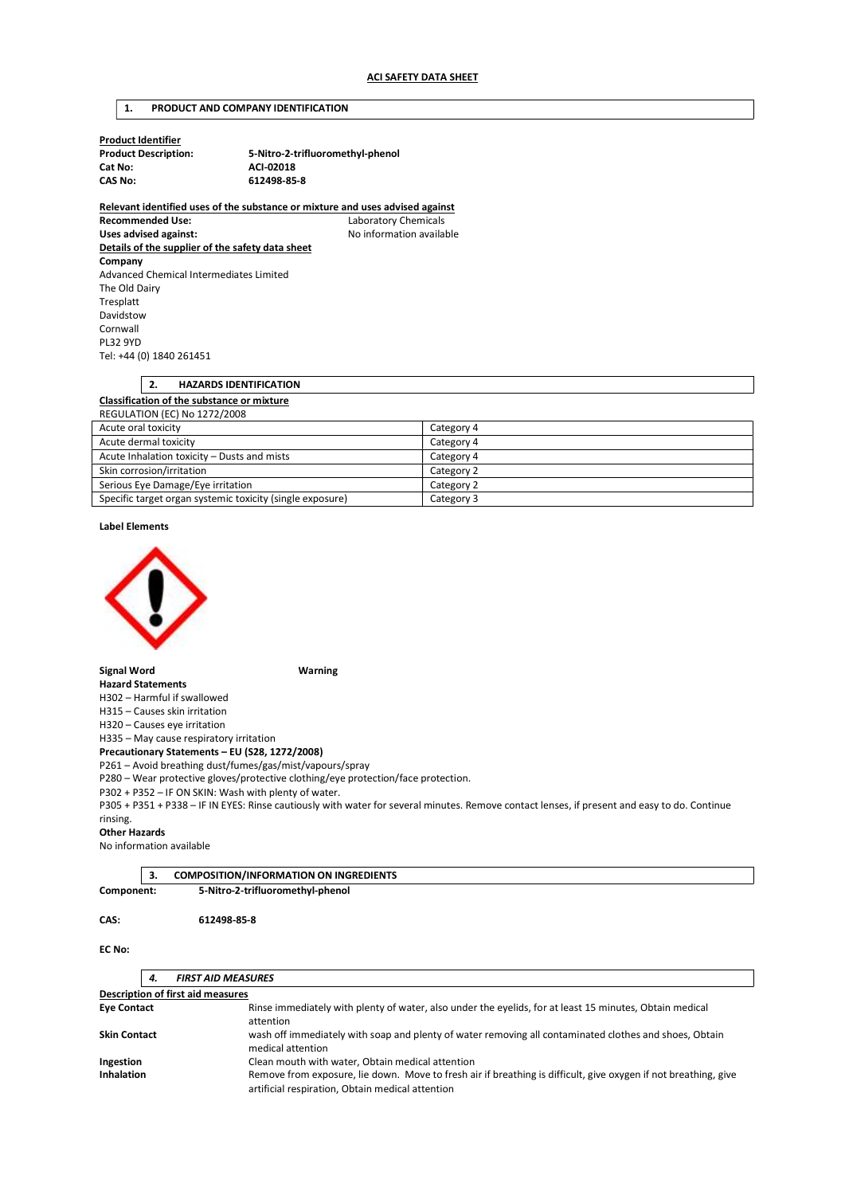### 1. PRODUCT AND COMPANY IDENTIFICATION

Product Identifier Cat No: <br>CAS No: 612498-85

Product Description: 5-Nitro-2-trifluoromethyl-phenol CAS No: 612498-85-8

### Relevant identified uses of the substance or mixture and uses advised against Recommended Use: Laboratory Chemicals Uses advised against: No information available Details of the supplier of the safety data sheet

Company Advanced Chemical Intermediates Limited The Old Dairy Tresplatt Davidstow Cornwall PL32 9YD Tel: +44 (0) 1840 261451

| <b>HAZARDS IDENTIFICATION</b><br>2.                       |            |  |
|-----------------------------------------------------------|------------|--|
| Classification of the substance or mixture                |            |  |
| <b>REGULATION (EC) No 1272/2008</b>                       |            |  |
| Acute oral toxicity                                       | Category 4 |  |
| Acute dermal toxicity                                     | Category 4 |  |
| Acute Inhalation toxicity - Dusts and mists               | Category 4 |  |
| Skin corrosion/irritation                                 | Category 2 |  |
| Serious Eye Damage/Eye irritation                         | Category 2 |  |
| Specific target organ systemic toxicity (single exposure) | Category 3 |  |

#### Label Elements



#### Signal Word Warning

Hazard Statements H302 – Harmful if swallowed

H315 – Causes skin irritation

H320 – Causes eye irritation

H335 – May cause respiratory irritation

Precautionary Statements – EU (S28, 1272/2008) P261 – Avoid breathing dust/fumes/gas/mist/vapours/spray

P280 – Wear protective gloves/protective clothing/eye protection/face protection.

P302 + P352 – IF ON SKIN: Wash with plenty of water.

P305 + P351 + P338 – IF IN EYES: Rinse cautiously with water for several minutes. Remove contact lenses, if present and easy to do. Continue rinsing.

### Other Hazards

No information available

|            | <b>.</b> | <b>COMPOSITION/INFORMATION ON INGREDIENTS</b> |  |
|------------|----------|-----------------------------------------------|--|
| Component: |          | 5-Nitro-2-trifluoromethyl-phenol              |  |

#### CAS: 612498-85-8

### EC No:

|                     | 4. | <b>FIRST AID MEASURES</b>                                                                                                                                           |
|---------------------|----|---------------------------------------------------------------------------------------------------------------------------------------------------------------------|
|                     |    | <b>Description of first aid measures</b>                                                                                                                            |
| <b>Eye Contact</b>  |    | Rinse immediately with plenty of water, also under the eyelids, for at least 15 minutes, Obtain medical<br>attention                                                |
| <b>Skin Contact</b> |    | wash off immediately with soap and plenty of water removing all contaminated clothes and shoes, Obtain<br>medical attention                                         |
| Ingestion           |    | Clean mouth with water, Obtain medical attention                                                                                                                    |
| <b>Inhalation</b>   |    | Remove from exposure, lie down. Move to fresh air if breathing is difficult, give oxygen if not breathing, give<br>artificial respiration, Obtain medical attention |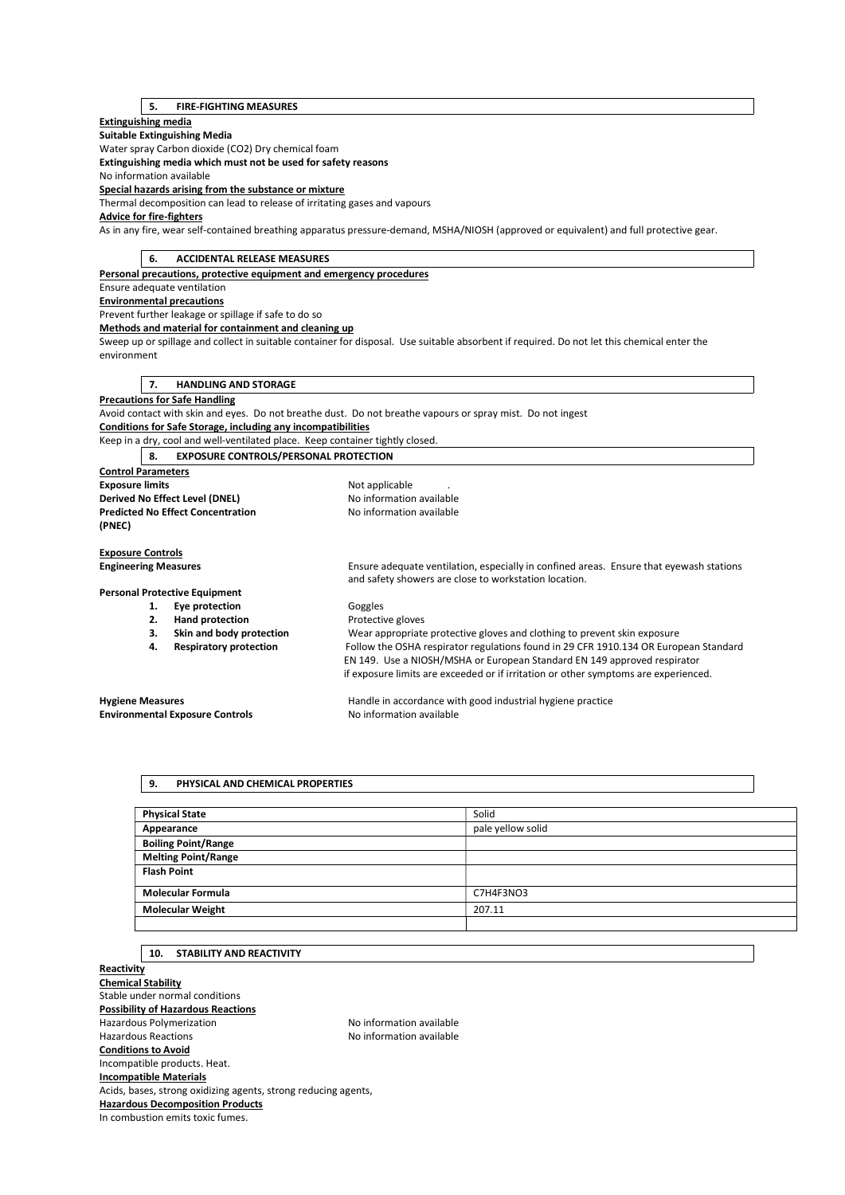## 5. FIRE-FIGHTING MEASURES

## Extinguishing media

Suitable Extinguishing Media Water spray Carbon dioxide (CO2) Dry chemical foam

Extinguishing media which must not be used for safety reasons

No information available

Special hazards arising from the substance or mixture

Thermal decomposition can lead to release of irritating gases and vapours

## Advice for fire-fighters

As in any fire, wear self-contained breathing apparatus pressure-demand, MSHA/NIOSH (approved or equivalent) and full protective gear.

| 6.<br><b>ACCIDENTAL RELEASE MEASURES</b>                                      |                                                                                                                                             |  |  |  |  |
|-------------------------------------------------------------------------------|---------------------------------------------------------------------------------------------------------------------------------------------|--|--|--|--|
|                                                                               | Personal precautions, protective equipment and emergency procedures                                                                         |  |  |  |  |
| Ensure adequate ventilation                                                   |                                                                                                                                             |  |  |  |  |
| <b>Environmental precautions</b>                                              |                                                                                                                                             |  |  |  |  |
| Prevent further leakage or spillage if safe to do so                          |                                                                                                                                             |  |  |  |  |
| Methods and material for containment and cleaning up                          |                                                                                                                                             |  |  |  |  |
|                                                                               | Sweep up or spillage and collect in suitable container for disposal. Use suitable absorbent if required. Do not let this chemical enter the |  |  |  |  |
| environment                                                                   |                                                                                                                                             |  |  |  |  |
|                                                                               |                                                                                                                                             |  |  |  |  |
| 7.<br><b>HANDLING AND STORAGE</b>                                             |                                                                                                                                             |  |  |  |  |
| <b>Precautions for Safe Handling</b>                                          |                                                                                                                                             |  |  |  |  |
|                                                                               | Avoid contact with skin and eyes. Do not breathe dust. Do not breathe vapours or spray mist. Do not ingest                                  |  |  |  |  |
| Conditions for Safe Storage, including any incompatibilities                  |                                                                                                                                             |  |  |  |  |
| Keep in a dry, cool and well-ventilated place. Keep container tightly closed. |                                                                                                                                             |  |  |  |  |
| 8.<br><b>EXPOSURE CONTROLS/PERSONAL PROTECTION</b>                            |                                                                                                                                             |  |  |  |  |
| <b>Control Parameters</b>                                                     |                                                                                                                                             |  |  |  |  |
| <b>Exposure limits</b>                                                        | Not applicable                                                                                                                              |  |  |  |  |
| Derived No Effect Level (DNEL)                                                | No information available                                                                                                                    |  |  |  |  |
| <b>Predicted No Effect Concentration</b>                                      | No information available                                                                                                                    |  |  |  |  |
| (PNEC)                                                                        |                                                                                                                                             |  |  |  |  |
| <b>Exposure Controls</b>                                                      |                                                                                                                                             |  |  |  |  |
| <b>Engineering Measures</b>                                                   | Ensure adequate ventilation, especially in confined areas. Ensure that eyewash stations                                                     |  |  |  |  |
|                                                                               | and safety showers are close to workstation location.                                                                                       |  |  |  |  |
| <b>Personal Protective Equipment</b>                                          |                                                                                                                                             |  |  |  |  |
| <b>Eve protection</b><br>1.                                                   | Goggles                                                                                                                                     |  |  |  |  |
| 2.<br><b>Hand protection</b>                                                  | Protective gloves                                                                                                                           |  |  |  |  |
| 3.<br>Skin and body protection                                                | Wear appropriate protective gloves and clothing to prevent skin exposure                                                                    |  |  |  |  |
| <b>Respiratory protection</b><br>4.                                           | Follow the OSHA respirator regulations found in 29 CFR 1910.134 OR European Standard                                                        |  |  |  |  |
|                                                                               | EN 149. Use a NIOSH/MSHA or European Standard EN 149 approved respirator                                                                    |  |  |  |  |
|                                                                               | if exposure limits are exceeded or if irritation or other symptoms are experienced.                                                         |  |  |  |  |
|                                                                               |                                                                                                                                             |  |  |  |  |
| <b>Hygiene Measures</b><br><b>Environmental Exposure Controls</b>             | Handle in accordance with good industrial hygiene practice<br>No information available                                                      |  |  |  |  |
|                                                                               |                                                                                                                                             |  |  |  |  |

## 9. PHYSICAL AND CHEMICAL PROPERTIES

| <b>Physical State</b>      | Solid             |
|----------------------------|-------------------|
| Appearance                 | pale yellow solid |
| <b>Boiling Point/Range</b> |                   |
| <b>Melting Point/Range</b> |                   |
| <b>Flash Point</b>         |                   |
|                            |                   |
| <b>Molecular Formula</b>   | C7H4F3NO3         |
| <b>Molecular Weight</b>    | 207.11            |
|                            |                   |

# 10. STABILITY AND REACTIVITY

**Reactivity** Chemical Stability Stable under normal conditions Possibility of Hazardous Reactions Hazardous Polymerization and the No information available<br>Hazardous Reactions available No information available No information available Conditions to Avoid Incompatible products. Heat. Incompatible Materials Acids, bases, strong oxidizing agents, strong reducing agents, Hazardous Decomposition Products In combustion emits toxic fumes.